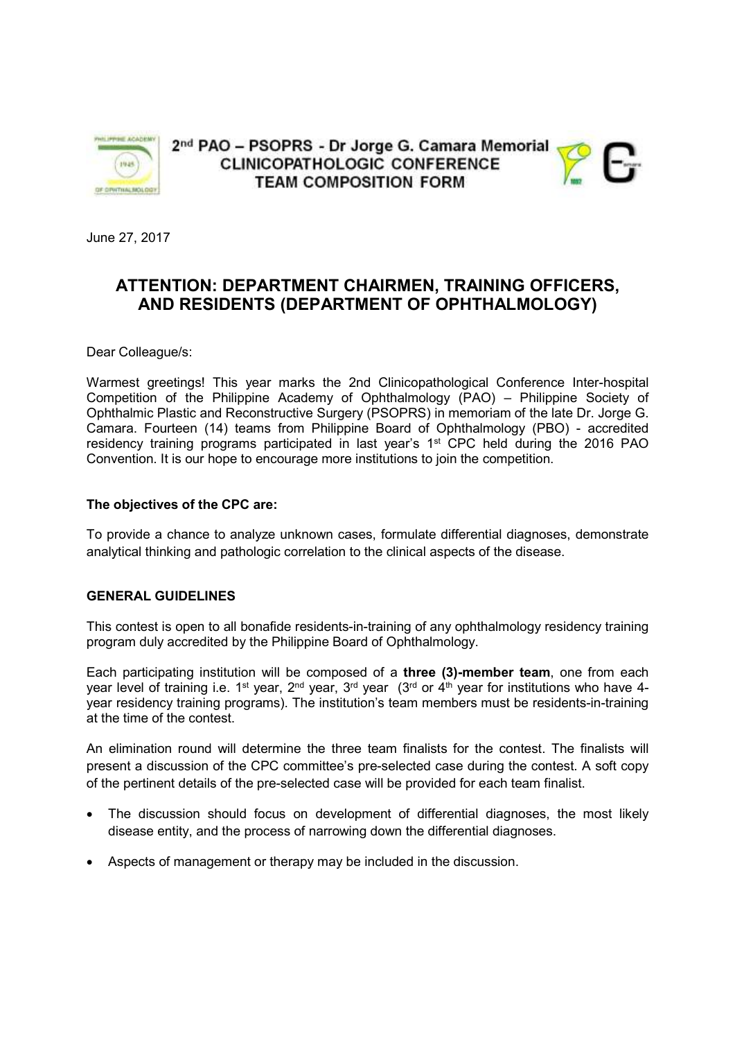

2<sup>nd</sup> PAO - PSOPRS - Dr Jorge G. Camara Memorial **CLINICOPATHOLOGIC CONFERENCE TEAM COMPOSITION FORM** 



June 27, 2017

# **ATTENTION: DEPARTMENT CHAIRMEN, TRAINING OFFICERS, AND RESIDENTS (DEPARTMENT OF OPHTHALMOLOGY)**

Dear Colleague/s:

Warmest greetings! This year marks the 2nd Clinicopathological Conference Inter-hospital Competition of the Philippine Academy of Ophthalmology (PAO) – Philippine Society of Ophthalmic Plastic and Reconstructive Surgery (PSOPRS) in memoriam of the late Dr. Jorge G. Camara. Fourteen (14) teams from Philippine Board of Ophthalmology (PBO) - accredited residency training programs participated in last year's 1st CPC held during the 2016 PAO Convention. It is our hope to encourage more institutions to join the competition.

### **The objectives of the CPC are:**

To provide a chance to analyze unknown cases, formulate differential diagnoses, demonstrate analytical thinking and pathologic correlation to the clinical aspects of the disease.

## **GENERAL GUIDELINES**

This contest is open to all bonafide residents-in-training of any ophthalmology residency training program duly accredited by the Philippine Board of Ophthalmology.

Each participating institution will be composed of a **three (3)-member team**, one from each year level of training i.e. 1<sup>st</sup> year, 2<sup>nd</sup> year, 3<sup>rd</sup> year (3<sup>rd</sup> or 4<sup>th</sup> year for institutions who have 4year residency training programs). The institution's team members must be residents-in-training at the time of the contest.

An elimination round will determine the three team finalists for the contest. The finalists will present a discussion of the CPC committee's pre-selected case during the contest. A soft copy of the pertinent details of the pre-selected case will be provided for each team finalist.

- The discussion should focus on development of differential diagnoses, the most likely disease entity, and the process of narrowing down the differential diagnoses.
- Aspects of management or therapy may be included in the discussion.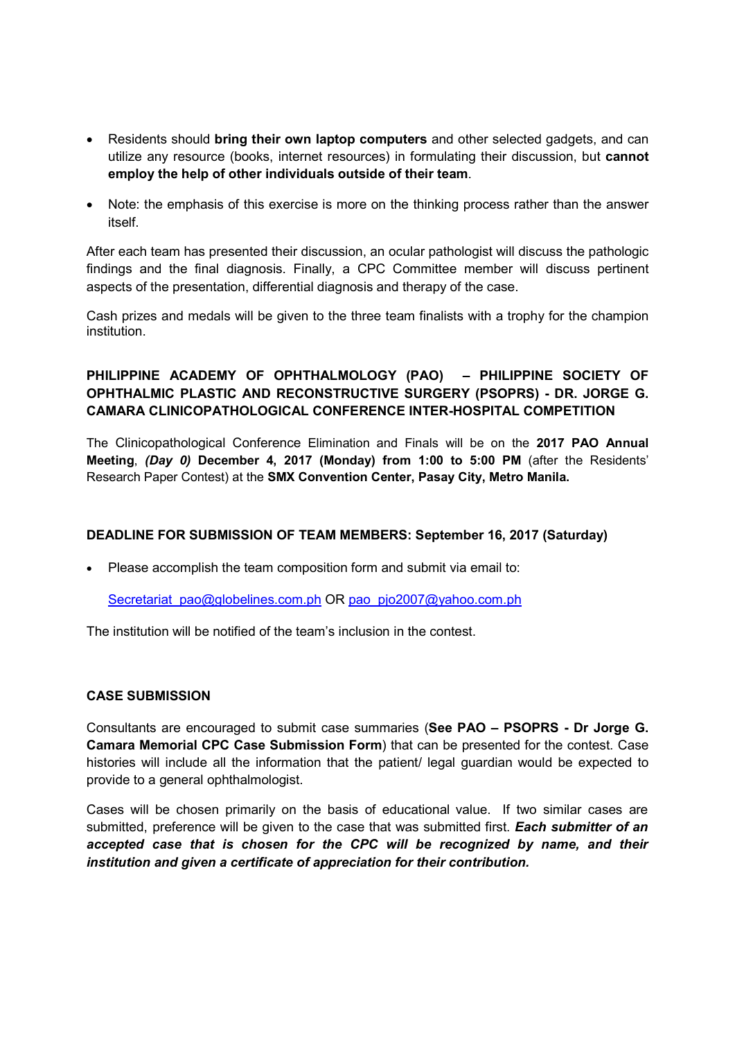- Residents should **bring their own laptop computers** and other selected gadgets, and can utilize any resource (books, internet resources) in formulating their discussion, but **cannot employ the help of other individuals outside of their team**.
- Note: the emphasis of this exercise is more on the thinking process rather than the answer itself.

After each team has presented their discussion, an ocular pathologist will discuss the pathologic findings and the final diagnosis. Finally, a CPC Committee member will discuss pertinent aspects of the presentation, differential diagnosis and therapy of the case.

Cash prizes and medals will be given to the three team finalists with a trophy for the champion institution.

# **PHILIPPINE ACADEMY OF OPHTHALMOLOGY (PAO) – PHILIPPINE SOCIETY OF OPHTHALMIC PLASTIC AND RECONSTRUCTIVE SURGERY (PSOPRS) - DR. JORGE G. CAMARA CLINICOPATHOLOGICAL CONFERENCE INTER-HOSPITAL COMPETITION**

The Clinicopathological Conference Elimination and Finals will be on the **2017 PAO Annual Meeting**, *(Day 0)* **December 4, 2017 (Monday) from 1:00 to 5:00 PM** (after the Residents' Research Paper Contest) at the **SMX Convention Center, Pasay City, Metro Manila.**

## **DEADLINE FOR SUBMISSION OF TEAM MEMBERS: September 16, 2017 (Saturday)**

• Please accomplish the team composition form and submit via email to:

Secretariat\_pao@globelines.com.ph OR pao\_pjo2007@yahoo.com.ph

The institution will be notified of the team's inclusion in the contest.

## **CASE SUBMISSION**

Consultants are encouraged to submit case summaries (**See PAO – PSOPRS - Dr Jorge G. Camara Memorial CPC Case Submission Form**) that can be presented for the contest. Case histories will include all the information that the patient/ legal guardian would be expected to provide to a general ophthalmologist.

Cases will be chosen primarily on the basis of educational value. If two similar cases are submitted, preference will be given to the case that was submitted first. *Each submitter of an accepted case that is chosen for the CPC will be recognized by name, and their institution and given a certificate of appreciation for their contribution.*